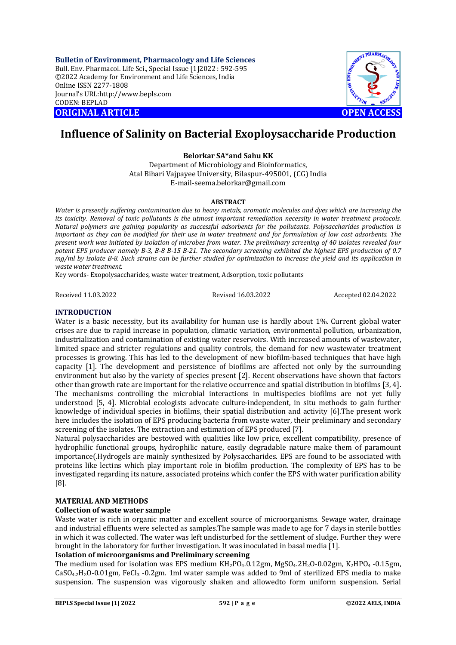**Bulletin of Environment, Pharmacology and Life Sciences** Bull. Env. Pharmacol. Life Sci., Special Issue [1]2022 : 592-595 ©2022 Academy for Environment and Life Sciences, India Online ISSN 2277-1808 Journal's URL:<http://www.bepls.com> CODEN: BEPLAD **ORIGINAL ARTICLE OPEN ACCESS** 



# **Influence of Salinity on Bacterial Exoploysaccharide Production**

## **Belorkar SA\*and Sahu KK**

Department of Microbiology and Bioinformatics, Atal Bihari Vajpayee University, Bilaspur-495001, (CG) India [E-mail-seema.belorkar@gmail.com](mailto:E-mail-seema.belorkar@gmail.com)

#### **ABSTRACT**

*Water is presently suffering contamination due to heavy metals, aromatic molecules and dyes which are increasing the its toxicity. Removal of toxic pollutants is the utmost important remediation necessity in water treatment protocols. Natural polymers are gaining popularity as successful adsorbents for the pollutants. Polysaccharides production is important as they can be modified for their use in water treatment and for formulation of low cost adsorbents. The present work was initiated by isolation of microbes from water. The preliminary screening of 40 isolates revealed four potent EPS producer namely B-3, B-8 B-15 B-21. The secondary screening exhibited the highest EPS production of 0.7 mg/ml by isolate B-8. Such strains can be further studied for optimization to increase the yield and its application in waste water treatment.*

Key words- Exopolysaccharides, waste water treatment, Adsorption, toxic pollutants

Received 11.03.2022 Revised 16.03.2022 Accepted 02.04.2022

## **INTRODUCTION**

Water is a basic necessity, but its availability for human use is hardly about 1%. Current global water crises are due to rapid increase in population, climatic variation, environmental pollution, urbanization, industrialization and contamination of existing water reservoirs. With increased amounts of wastewater, limited space and stricter regulations and quality controls, the demand for new wastewater treatment processes is growing. This has led to the development of new biofilm-based techniques that have high capacity [1]. The development and persistence of biofilms are affected not only by the surrounding environment but also by the variety of species present [2]. Recent observations have shown that factors other than growth rate are important for the relative occurrence and spatial distribution in biofilms [3, 4]. The mechanisms controlling the microbial interactions in multispecies biofilms are not yet fully understood [5, 4]. Microbial ecologists advocate culture-independent, in situ methods to gain further knowledge of individual species in biofilms, their spatial distribution and activity [6].The present work here includes the isolation of EPS producing bacteria from waste water, their preliminary and secondary screening of the isolates. The extraction and estimation of EPS produced [7].

Natural polysaccharides are bestowed with qualities like low price, excellent compatibility, presence of hydrophilic functional groups, hydrophilic nature, easily degradable nature make them of paramount importance(.Hydrogels are mainly synthesized by Polysaccharides. EPS are found to be associated with proteins like lectins which play important role in biofilm production. The complexity of EPS has to be investigated regarding its nature, associated proteins which confer the EPS with water purification ability [8].

## **MATERIAL AND METHODS**

#### **Collection of waste water sample**

Waste water is rich in organic matter and excellent source of microorganisms. Sewage water, drainage and industrial effluents were selected as samples.The sample was made to age for 7 days in sterile bottles in which it was collected. The water was left undisturbed for the settlement of sludge. Further they were brought in the laboratory for further investigation. It was inoculated in basal media [1].

#### **Isolation of microorganisms and Preliminary screening**

The medium used for isolation was EPS medium  $KH_2PO_4.0.12gm$ , MgSO<sub>4</sub>.2H<sub>2</sub>O-0.02gm, K<sub>2</sub>HPO<sub>4</sub> -0.15gm,  $CaSO_{4,2}H_2O-0.01$ gm, FeCl<sub>3</sub> -0.2gm. 1ml water sample was added to 9ml of sterilized EPS media to make suspension. The suspension was vigorously shaken and allowedto form uniform suspension. Serial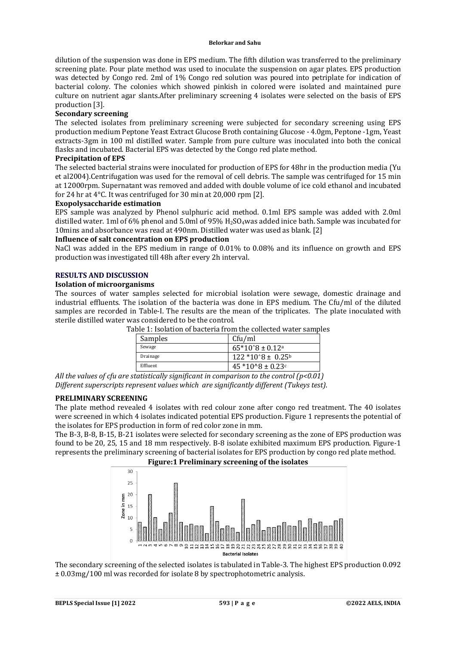#### **Belorkar and Sahu**

dilution of the suspension was done in EPS medium. The fifth dilution was transferred to the preliminary screening plate. Pour plate method was used to inoculate the suspension on agar plates. EPS production was detected by Congo red. 2ml of 1% Congo red solution was poured into petriplate for indication of bacterial colony. The colonies which showed pinkish in colored were isolated and maintained pure culture on nutrient agar slants.After preliminary screening 4 isolates were selected on the basis of EPS production [3].

## **Secondary screening**

The selected isolates from preliminary screening were subjected for secondary screening using EPS production medium Peptone Yeast Extract Glucose Broth containing Glucose - 4.0gm, Peptone -1gm, Yeast extracts-3gm in 100 ml distilled water. Sample from pure culture was inoculated into both the conical flasks and incubated. Bacterial EPS was detected by the Congo red plate method.

#### **Precipitation of EPS**

The selected bacterial strains were inoculated for production of EPS for 48hr in the production media (Yu et al2004).Centrifugation was used for the removal of cell debris. The sample was centrifuged for 15 min at 12000rpm. Supernatant was removed and added with double volume of ice cold ethanol and incubated for 24 hr at 4°C. It was centrifuged for 30 min at 20,000 rpm [2].

#### **Exopolysaccharide estimation**

EPS sample was analyzed by Phenol sulphuric acid method. 0.1ml EPS sample was added with 2.0ml distilled water. 1ml of 6% phenol and 5.0ml of 95%  $H_2SO_4$  was added inice bath. Sample was incubated for 10mins and absorbance was read at 490nm. Distilled water was used as blank. [2]

#### **Influence of salt concentration on EPS production**

NaCl was added in the EPS medium in range of 0.01% to 0.08% and its influence on growth and EPS production was investigated till 48h after every 2h interval.

## **RESULTS AND DISCUSSION**

#### **Isolation of microorganisms**

The sources of water samples selected for microbial isolation were sewage, domestic drainage and industrial effluents. The isolation of the bacteria was done in EPS medium. The Cfu/ml of the diluted samples are recorded in Table-I. The results are the mean of the triplicates. The plate inoculated with sterile distilled water was considered to be the control.

| Samples  | Cfu/ml                |
|----------|-----------------------|
| Sewage   | $65*10^8 \pm 0.12^a$  |
| Drainage | $122*10^8 \pm 0.25^6$ |
| Effluent | $45*10^8 + 0.23^c$    |

Table 1: Isolation of bacteria from the collected water samples

*All the values of cfu are statistically significant in comparison to the control (p<0.01) Different superscripts represent values which are significantly different (Tukeys test)*.

## **PRELIMINARY SCREENING**

The plate method revealed 4 isolates with red colour zone after congo red treatment. The 40 isolates were screened in which 4 isolates indicated potential EPS production. Figure 1 represents the potential of the isolates for EPS production in form of red color zone in mm.

The B-3, B-8, B-15, B-21 isolates were selected for secondary screening as the zone of EPS production was found to be 20, 25, 15 and 18 mm respectively. B-8 isolate exhibited maximum EPS production. Figure-1 represents the preliminary screening of bacterial isolates for EPS production by congo red plate method.



The secondary screening of the selected isolates is tabulated in Table-3. The highest EPS production 0.092 ± 0.03mg/100 ml was recorded for isolate 8 by spectrophotometric analysis.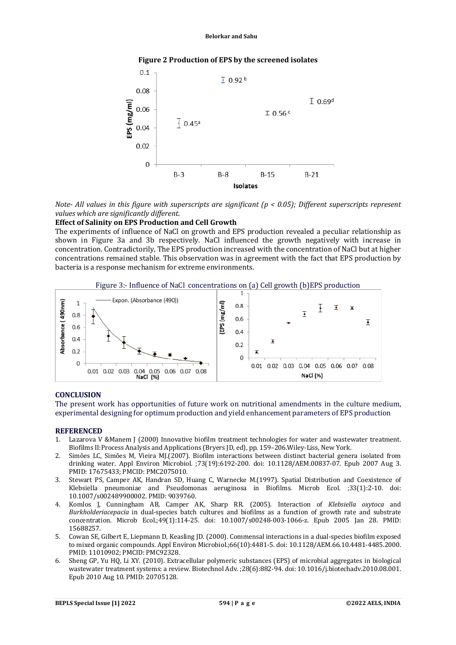#### **Figure 2 Production of EPS by the screened isolates**



*Note- All values in this figure with superscripts are significant (p < 0.05); Different superscripts represent values which are significantly different*.

#### **Effect of Salinity on EPS Production and Cell Growth**

The experiments of influence of NaCl on growth and EPS production revealed a peculiar relationship as shown in Figure 3a and 3b respectively. NaCl influenced the growth negatively with increase in concentration. Contradictorily, The EPS production increased with the concentration of NaCl but at higher concentrations remained stable. This observation was in agreement with the fact that EPS production by bacteria is a response mechanism for extreme environments.





#### **CONCLUSION**

The present work has opportunities of future work on nutritional amendments in the culture medium, experimental designing for optimum production and yield enhancement parameters of EPS production

#### **REFERENCED**

- 1. Lazarova V &Manem J (2000) Innovative biofilm treatment technologies for water and wastewater treatment. Biofilms II:Process Analysis and Applications (Bryers JD, ed), pp. 159–206.Wiley-Liss, New York.
- 2. Simões LC, Simões M, Vieira MJ.(2007). Biofilm interactions between distinct bacterial genera isolated from drinking water. Appl Environ Microbiol. ;73(19):6192-200. doi: 10.1128/AEM.00837-07. Epub 2007 Aug 3. PMID: 17675433; PMCID: PMC2075010.
- 3. Stewart PS, Camper AK, Handran SD, Huang C, Warnecke M.(1997). Spatial Distribution and Coexistence of Klebsiella pneumoniae and Pseudomonas aeruginosa in Biofilms. Microb Ecol. ;33(1):2-10. doi: 10.1007/s002489900002. PMID: 9039760.
- 4. Komlos J, Cunningham AB, Camper AK, Sharp RR. (2005). Interaction of *Klebsiella oxytoca* and *Burkholderiacepacia* in dual-species batch cultures and biofilms as a function of growth rate and substrate concentration. Microb Ecol.;49(1):114-25. doi: 10.1007/s00248-003-1066-z. Epub 2005 Jan 28. PMID: 15688257.
- 5. Cowan SE, Gilbert E, Liepmann D, Keasling JD. (2000). Commensal interactions in a dual-species biofilm exposed to mixed organic compounds. Appl Environ Microbiol.;66(10):4481-5. doi: 10.1128/AEM.66.10.4481-4485.2000. PMID: 11010902; PMCID: PMC92328.
- 6. Sheng GP, Yu HQ, Li XY. (2010). Extracellular polymeric substances (EPS) of microbial aggregates in biological wastewater treatment systems: a review. Biotechnol Adv. ;28(6):882-94. doi: 10.1016/j.biotechadv.2010.08.001. Epub 2010 Aug 10. PMID: 20705128.